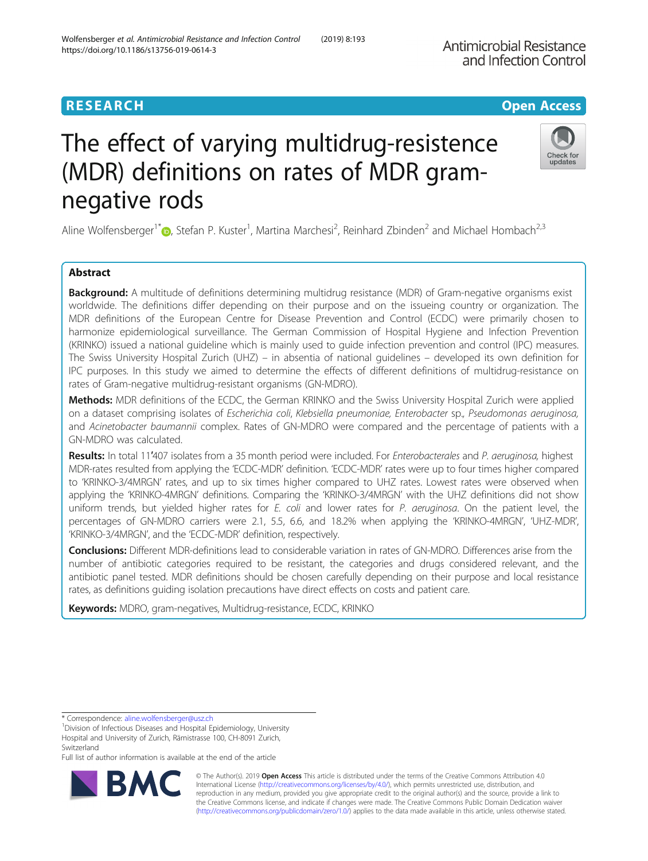# The effect of varying multidrug-resistence (MDR) definitions on rates of MDR gramnegative rods

Aline Wolfensberger<sup>1[\\*](http://orcid.org/0000-0001-9028-0007)</sup> D, Stefan P. Kuster<sup>1</sup>, Martina Marchesi<sup>2</sup>, Reinhard Zbinden<sup>2</sup> and Michael Hombach<sup>2,3</sup>

# Abstract

Background: A multitude of definitions determining multidrug resistance (MDR) of Gram-negative organisms exist worldwide. The definitions differ depending on their purpose and on the issueing country or organization. The MDR definitions of the European Centre for Disease Prevention and Control (ECDC) were primarily chosen to harmonize epidemiological surveillance. The German Commission of Hospital Hygiene and Infection Prevention (KRINKO) issued a national guideline which is mainly used to guide infection prevention and control (IPC) measures. The Swiss University Hospital Zurich (UHZ) – in absentia of national guidelines – developed its own definition for IPC purposes. In this study we aimed to determine the effects of different definitions of multidrug-resistance on rates of Gram-negative multidrug-resistant organisms (GN-MDRO).

Methods: MDR definitions of the ECDC, the German KRINKO and the Swiss University Hospital Zurich were applied on a dataset comprising isolates of Escherichia coli, Klebsiella pneumoniae, Enterobacter sp., Pseudomonas aeruginosa, and Acinetobacter baumannii complex. Rates of GN-MDRO were compared and the percentage of patients with a GN-MDRO was calculated.

Results: In total 11'407 isolates from a 35 month period were included. For Enterobacterales and P. aeruginosa, highest MDR-rates resulted from applying the 'ECDC-MDR' definition. 'ECDC-MDR' rates were up to four times higher compared to 'KRINKO-3/4MRGN' rates, and up to six times higher compared to UHZ rates. Lowest rates were observed when applying the 'KRINKO-4MRGN' definitions. Comparing the 'KRINKO-3/4MRGN' with the UHZ definitions did not show uniform trends, but yielded higher rates for E. coli and lower rates for P. aeruginosa. On the patient level, the percentages of GN-MDRO carriers were 2.1, 5.5, 6.6, and 18.2% when applying the 'KRINKO-4MRGN', 'UHZ-MDR', 'KRINKO-3/4MRGN', and the 'ECDC-MDR' definition, respectively.

Conclusions: Different MDR-definitions lead to considerable variation in rates of GN-MDRO. Differences arise from the number of antibiotic categories required to be resistant, the categories and drugs considered relevant, and the antibiotic panel tested. MDR definitions should be chosen carefully depending on their purpose and local resistance rates, as definitions guiding isolation precautions have direct effects on costs and patient care.

Keywords: MDRO, gram-negatives, Multidrug-resistance, ECDC, KRINKO

Full list of author information is available at the end of the article

© The Author(s). 2019 **Open Access** This article is distributed under the terms of the Creative Commons Attribution 4.0 International License [\(http://creativecommons.org/licenses/by/4.0/](http://creativecommons.org/licenses/by/4.0/)), which permits unrestricted use, distribution, and reproduction in any medium, provided you give appropriate credit to the original author(s) and the source, provide a link to the Creative Commons license, and indicate if changes were made. The Creative Commons Public Domain Dedication waiver [\(http://creativecommons.org/publicdomain/zero/1.0/](http://creativecommons.org/publicdomain/zero/1.0/)) applies to the data made available in this article, unless otherwise stated.





<sup>&</sup>lt;sup>1</sup> Division of Infectious Diseases and Hospital Epidemiology, University Hospital and University of Zurich, Rämistrasse 100, CH-8091 Zurich, Switzerland

<sup>\*</sup> Correspondence: [aline.wolfensberger@usz.ch](mailto:aline.wolfensberger@usz.ch) <sup>1</sup>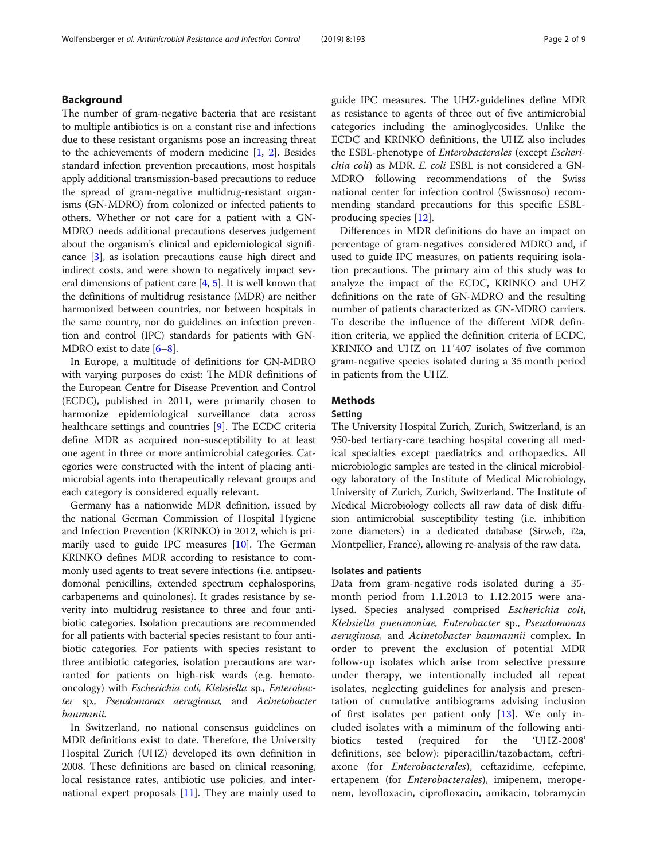# Background

The number of gram-negative bacteria that are resistant to multiple antibiotics is on a constant rise and infections due to these resistant organisms pose an increasing threat to the achievements of modern medicine [[1,](#page-7-0) [2\]](#page-7-0). Besides standard infection prevention precautions, most hospitals apply additional transmission-based precautions to reduce the spread of gram-negative multidrug-resistant organisms (GN-MDRO) from colonized or infected patients to others. Whether or not care for a patient with a GN-MDRO needs additional precautions deserves judgement about the organism's clinical and epidemiological significance [\[3](#page-8-0)], as isolation precautions cause high direct and indirect costs, and were shown to negatively impact several dimensions of patient care  $[4, 5]$  $[4, 5]$  $[4, 5]$  $[4, 5]$  $[4, 5]$ . It is well known that the definitions of multidrug resistance (MDR) are neither harmonized between countries, nor between hospitals in the same country, nor do guidelines on infection prevention and control (IPC) standards for patients with GN-MDRO exist to date [\[6](#page-8-0)–[8\]](#page-8-0).

In Europe, a multitude of definitions for GN-MDRO with varying purposes do exist: The MDR definitions of the European Centre for Disease Prevention and Control (ECDC), published in 2011, were primarily chosen to harmonize epidemiological surveillance data across healthcare settings and countries [\[9](#page-8-0)]. The ECDC criteria define MDR as acquired non-susceptibility to at least one agent in three or more antimicrobial categories. Categories were constructed with the intent of placing antimicrobial agents into therapeutically relevant groups and each category is considered equally relevant.

Germany has a nationwide MDR definition, issued by the national German Commission of Hospital Hygiene and Infection Prevention (KRINKO) in 2012, which is primarily used to guide IPC measures [[10](#page-8-0)]. The German KRINKO defines MDR according to resistance to commonly used agents to treat severe infections (i.e. antipseudomonal penicillins, extended spectrum cephalosporins, carbapenems and quinolones). It grades resistance by severity into multidrug resistance to three and four antibiotic categories. Isolation precautions are recommended for all patients with bacterial species resistant to four antibiotic categories. For patients with species resistant to three antibiotic categories, isolation precautions are warranted for patients on high-risk wards (e.g. hematooncology) with Escherichia coli, Klebsiella sp., Enterobacter sp., Pseudomonas aeruginosa, and Acinetobacter baumanii.

In Switzerland, no national consensus guidelines on MDR definitions exist to date. Therefore, the University Hospital Zurich (UHZ) developed its own definition in 2008. These definitions are based on clinical reasoning, local resistance rates, antibiotic use policies, and international expert proposals  $[11]$  $[11]$ . They are mainly used to guide IPC measures. The UHZ-guidelines define MDR as resistance to agents of three out of five antimicrobial categories including the aminoglycosides. Unlike the ECDC and KRINKO definitions, the UHZ also includes the ESBL-phenotype of Enterobacterales (except Escherichia coli) as MDR. E. coli ESBL is not considered a GN-MDRO following recommendations of the Swiss national center for infection control (Swissnoso) recommending standard precautions for this specific ESBLproducing species [[12\]](#page-8-0).

Differences in MDR definitions do have an impact on percentage of gram-negatives considered MDRO and, if used to guide IPC measures, on patients requiring isolation precautions. The primary aim of this study was to analyze the impact of the ECDC, KRINKO and UHZ definitions on the rate of GN-MDRO and the resulting number of patients characterized as GN-MDRO carriers. To describe the influence of the different MDR definition criteria, we applied the definition criteria of ECDC, KRINKO and UHZ on 11′407 isolates of five common gram-negative species isolated during a 35 month period in patients from the UHZ.

# **Methods**

# Setting

The University Hospital Zurich, Zurich, Switzerland, is an 950-bed tertiary-care teaching hospital covering all medical specialties except paediatrics and orthopaedics. All microbiologic samples are tested in the clinical microbiology laboratory of the Institute of Medical Microbiology, University of Zurich, Zurich, Switzerland. The Institute of Medical Microbiology collects all raw data of disk diffusion antimicrobial susceptibility testing (i.e. inhibition zone diameters) in a dedicated database (Sirweb, i2a, Montpellier, France), allowing re-analysis of the raw data.

# Isolates and patients

Data from gram-negative rods isolated during a 35 month period from 1.1.2013 to 1.12.2015 were analysed. Species analysed comprised Escherichia coli, Klebsiella pneumoniae, Enterobacter sp., Pseudomonas aeruginosa, and Acinetobacter baumannii complex. In order to prevent the exclusion of potential MDR follow-up isolates which arise from selective pressure under therapy, we intentionally included all repeat isolates, neglecting guidelines for analysis and presentation of cumulative antibiograms advising inclusion of first isolates per patient only [[13](#page-8-0)]. We only included isolates with a miminum of the following antibiotics tested (required for the 'UHZ-2008' definitions, see below): piperacillin/tazobactam, ceftriaxone (for Enterobacterales), ceftazidime, cefepime, ertapenem (for *Enterobacterales*), imipenem, meropenem, levofloxacin, ciprofloxacin, amikacin, tobramycin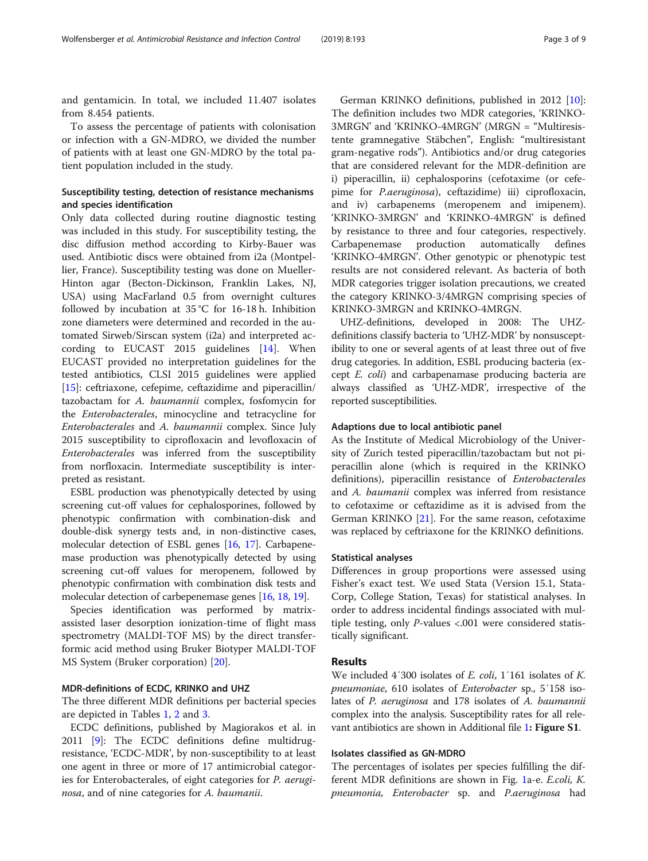and gentamicin. In total, we included 11.407 isolates from 8.454 patients.

To assess the percentage of patients with colonisation or infection with a GN-MDRO, we divided the number of patients with at least one GN-MDRO by the total patient population included in the study.

# Susceptibility testing, detection of resistance mechanisms and species identification

Only data collected during routine diagnostic testing was included in this study. For susceptibility testing, the disc diffusion method according to Kirby-Bauer was used. Antibiotic discs were obtained from i2a (Montpellier, France). Susceptibility testing was done on Mueller-Hinton agar (Becton-Dickinson, Franklin Lakes, NJ, USA) using MacFarland 0.5 from overnight cultures followed by incubation at  $35^{\circ}$ C for 16-18 h. Inhibition zone diameters were determined and recorded in the automated Sirweb/Sirscan system (i2a) and interpreted according to EUCAST 2015 guidelines [[14](#page-8-0)]. When EUCAST provided no interpretation guidelines for the tested antibiotics, CLSI 2015 guidelines were applied [[15\]](#page-8-0): ceftriaxone, cefepime, ceftazidime and piperacillin/ tazobactam for A. baumannii complex, fosfomycin for the Enterobacterales, minocycline and tetracycline for Enterobacterales and A. baumannii complex. Since July 2015 susceptibility to ciprofloxacin and levofloxacin of Enterobacterales was inferred from the susceptibility from norfloxacin. Intermediate susceptibility is interpreted as resistant.

ESBL production was phenotypically detected by using screening cut-off values for cephalosporines, followed by phenotypic confirmation with combination-disk and double-disk synergy tests and, in non-distinctive cases, molecular detection of ESBL genes [\[16,](#page-8-0) [17\]](#page-8-0). Carbapenemase production was phenotypically detected by using screening cut-off values for meropenem, followed by phenotypic confirmation with combination disk tests and molecular detection of carbepenemase genes [[16,](#page-8-0) [18,](#page-8-0) [19](#page-8-0)].

Species identification was performed by matrixassisted laser desorption ionization-time of flight mass spectrometry (MALDI-TOF MS) by the direct transferformic acid method using Bruker Biotyper MALDI-TOF MS System (Bruker corporation) [[20](#page-8-0)].

# MDR-definitions of ECDC, KRINKO and UHZ

The three different MDR definitions per bacterial species are depicted in Tables [1](#page-3-0), [2](#page-4-0) and [3.](#page-5-0)

ECDC definitions, published by Magiorakos et al. in 2011 [\[9](#page-8-0)]: The ECDC definitions define multidrugresistance, 'ECDC-MDR', by non-susceptibility to at least one agent in three or more of 17 antimicrobial categories for Enterobacterales, of eight categories for P. aeruginosa, and of nine categories for A. baumanii.

German KRINKO definitions, published in 2012 [\[10](#page-8-0)]: The definition includes two MDR categories, 'KRINKO-3MRGN' and 'KRINKO-4MRGN' (MRGN = "Multiresistente gramnegative Stäbchen", English: "multiresistant gram-negative rods"). Antibiotics and/or drug categories that are considered relevant for the MDR-definition are i) piperacillin, ii) cephalosporins (cefotaxime (or cefepime for P.aeruginosa), ceftazidime) iii) ciprofloxacin, and iv) carbapenems (meropenem and imipenem). 'KRINKO-3MRGN' and 'KRINKO-4MRGN' is defined by resistance to three and four categories, respectively. Carbapenemase production automatically defines 'KRINKO-4MRGN'. Other genotypic or phenotypic test results are not considered relevant. As bacteria of both MDR categories trigger isolation precautions, we created the category KRINKO-3/4MRGN comprising species of KRINKO-3MRGN and KRINKO-4MRGN.

UHZ-definitions, developed in 2008: The UHZdefinitions classify bacteria to 'UHZ-MDR' by nonsusceptibility to one or several agents of at least three out of five drug categories. In addition, ESBL producing bacteria (except E. coli) and carbapenamase producing bacteria are always classified as 'UHZ-MDR', irrespective of the reported susceptibilities.

## Adaptions due to local antibiotic panel

As the Institute of Medical Microbiology of the University of Zurich tested piperacillin/tazobactam but not piperacillin alone (which is required in the KRINKO definitions), piperacillin resistance of Enterobacterales and A. baumanii complex was inferred from resistance to cefotaxime or ceftazidime as it is advised from the German KRINKO [[21](#page-8-0)]. For the same reason, cefotaxime was replaced by ceftriaxone for the KRINKO definitions.

# Statistical analyses

Differences in group proportions were assessed using Fisher's exact test. We used Stata (Version 15.1, Stata-Corp, College Station, Texas) for statistical analyses. In order to address incidental findings associated with multiple testing, only P-values <.001 were considered statistically significant.

#### Results

We included 4'300 isolates of *E. coli*, 1'161 isolates of *K.* pneumoniae, 610 isolates of Enterobacter sp., 5′158 isolates of P. aeruginosa and 178 isolates of A. baumannii complex into the analysis. Susceptibility rates for all rele-vant antibiotics are shown in Additional file [1](#page-7-0): Figure S1.

# Isolates classified as GN-MDRO

The percentages of isolates per species fulfilling the different MDR definitions are shown in Fig. [1a](#page-6-0)-e. E.coli, K. pneumonia, Enterobacter sp. and P.aeruginosa had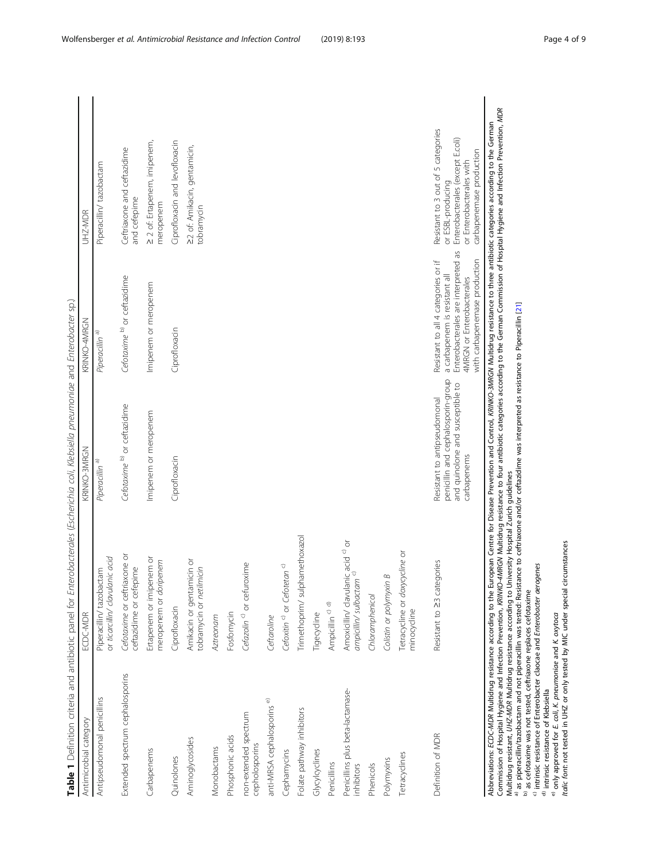<span id="page-3-0"></span>

| Antimicrobial category                                                                                                                                                                                                                                                                                                                                                                   | ECDC-MDR                                                                                                                                                                                                                                                                                                                                                                                                                                                                            | KRINKO-3MRGN                                                                                                          | KRINKO-4MRGN                                                                                                                                                              | UHZ-MDR                                                                                                                                                                                                       |
|------------------------------------------------------------------------------------------------------------------------------------------------------------------------------------------------------------------------------------------------------------------------------------------------------------------------------------------------------------------------------------------|-------------------------------------------------------------------------------------------------------------------------------------------------------------------------------------------------------------------------------------------------------------------------------------------------------------------------------------------------------------------------------------------------------------------------------------------------------------------------------------|-----------------------------------------------------------------------------------------------------------------------|---------------------------------------------------------------------------------------------------------------------------------------------------------------------------|---------------------------------------------------------------------------------------------------------------------------------------------------------------------------------------------------------------|
| Antipseudomonal penicillins                                                                                                                                                                                                                                                                                                                                                              | or ticarcillin/ clavulanic acid<br>Piperacillin/tazobactam                                                                                                                                                                                                                                                                                                                                                                                                                          | Piperacillin <sup>a)</sup>                                                                                            | Piperacillin <sup>a)</sup>                                                                                                                                                | Piperacillin/ tazobactam                                                                                                                                                                                      |
| Extended spectrum cephalosporins                                                                                                                                                                                                                                                                                                                                                         | Cefotaxime or ceftriaxone or<br>ceftazidime or cefepime                                                                                                                                                                                                                                                                                                                                                                                                                             | Cefotaxime <sup>b)</sup> or ceftazidime                                                                               | Cefotaxime b) or ceftazidime                                                                                                                                              | Ceftriaxone and ceftazidime<br>and cefepime                                                                                                                                                                   |
| Carbapenems                                                                                                                                                                                                                                                                                                                                                                              | Ertapenem or imipenem or<br>meropenem or doripenem                                                                                                                                                                                                                                                                                                                                                                                                                                  | Imipenem or meropenem                                                                                                 | Imipenem or meropenem                                                                                                                                                     | 2 2 of: Ertapenem, imipenem,<br>meropenem                                                                                                                                                                     |
| Quinolones                                                                                                                                                                                                                                                                                                                                                                               | Ciprofloxacin                                                                                                                                                                                                                                                                                                                                                                                                                                                                       | Ciprofloxacin                                                                                                         | Ciprofloxacin                                                                                                                                                             | Ciprofloxacin and levofloxacin                                                                                                                                                                                |
| Aminoglycosides                                                                                                                                                                                                                                                                                                                                                                          | Amikacin or gentamicin or<br>tobramycin or netilmicin                                                                                                                                                                                                                                                                                                                                                                                                                               |                                                                                                                       |                                                                                                                                                                           | 22 of: Amikacin, gentamicin,<br>tobramycin                                                                                                                                                                    |
| Monobactams                                                                                                                                                                                                                                                                                                                                                                              | Aztreonam                                                                                                                                                                                                                                                                                                                                                                                                                                                                           |                                                                                                                       |                                                                                                                                                                           |                                                                                                                                                                                                               |
| Phosphonic acids                                                                                                                                                                                                                                                                                                                                                                         | Fosfomycin                                                                                                                                                                                                                                                                                                                                                                                                                                                                          |                                                                                                                       |                                                                                                                                                                           |                                                                                                                                                                                                               |
| non-extended spectrum<br>cepholosporins                                                                                                                                                                                                                                                                                                                                                  | Cefazolin <sup>c)</sup> or cefuroxime                                                                                                                                                                                                                                                                                                                                                                                                                                               |                                                                                                                       |                                                                                                                                                                           |                                                                                                                                                                                                               |
| anti-MRSA cephalosporins <sup>e)</sup>                                                                                                                                                                                                                                                                                                                                                   | Ceftaroline                                                                                                                                                                                                                                                                                                                                                                                                                                                                         |                                                                                                                       |                                                                                                                                                                           |                                                                                                                                                                                                               |
| Cephamycins                                                                                                                                                                                                                                                                                                                                                                              | Cefoxitin <sup>c)</sup> or Cefotetan <sup>c)</sup>                                                                                                                                                                                                                                                                                                                                                                                                                                  |                                                                                                                       |                                                                                                                                                                           |                                                                                                                                                                                                               |
| Folate pathway inhibitors                                                                                                                                                                                                                                                                                                                                                                | Trimethoprim/sulphamethoxazol                                                                                                                                                                                                                                                                                                                                                                                                                                                       |                                                                                                                       |                                                                                                                                                                           |                                                                                                                                                                                                               |
| Glycylcyclines                                                                                                                                                                                                                                                                                                                                                                           | Tigecycline                                                                                                                                                                                                                                                                                                                                                                                                                                                                         |                                                                                                                       |                                                                                                                                                                           |                                                                                                                                                                                                               |
| Penicillins                                                                                                                                                                                                                                                                                                                                                                              | Ampicillin <sup>c) d)</sup>                                                                                                                                                                                                                                                                                                                                                                                                                                                         |                                                                                                                       |                                                                                                                                                                           |                                                                                                                                                                                                               |
| Penicillins plus beta-lactamase-<br>inhibitors                                                                                                                                                                                                                                                                                                                                           | Amoxicillin/ clavulanic acid <sup>c)</sup> or<br><i>ampicillin/ sulbactam</i> <sup>c)</sup>                                                                                                                                                                                                                                                                                                                                                                                         |                                                                                                                       |                                                                                                                                                                           |                                                                                                                                                                                                               |
| Phenicols                                                                                                                                                                                                                                                                                                                                                                                | Chloramphenicol                                                                                                                                                                                                                                                                                                                                                                                                                                                                     |                                                                                                                       |                                                                                                                                                                           |                                                                                                                                                                                                               |
| Polymyxins                                                                                                                                                                                                                                                                                                                                                                               | $\infty$<br>Colistin or polymyxin                                                                                                                                                                                                                                                                                                                                                                                                                                                   |                                                                                                                       |                                                                                                                                                                           |                                                                                                                                                                                                               |
| Tetracyclines                                                                                                                                                                                                                                                                                                                                                                            | Tetracycline or doxycycline or<br>minocycline                                                                                                                                                                                                                                                                                                                                                                                                                                       |                                                                                                                       |                                                                                                                                                                           |                                                                                                                                                                                                               |
| Definition of MDR                                                                                                                                                                                                                                                                                                                                                                        | Resistant to 23 categories                                                                                                                                                                                                                                                                                                                                                                                                                                                          | penicillin and cephalosporin-group<br>and quinolone and susceptible to<br>Resistant to antipseudomonal<br>carbapenems | Enterobacterales are interpreted as<br>with carbapenemase production<br>Resistant to all 4 categories or if<br>a carbapenem is resistant all<br>4MRGN or Enterobacterales | Resistant to 3 out of 5 categories<br>Enterobacterales (except E.coli)<br>carbapenemase production<br>or Enterobacterales with<br>or ESBL-producing                                                           |
| <sup>e)</sup> only approved for <i>E. coli, K. pneumoniae</i> and <i>K. oxytoca</i><br>Italic font: not tested in UHZ or only tested by MIC under special circumstances<br><sup>c)</sup> intrinsic resistance of Enterobacter claocae and Enterobacter aerogenes<br>b) as cefotaxime was not tested, ceftriaxone replaces cefotaxime<br><sup>d)</sup> intrinsic resistance of Klebsiella | Abbreviations: ECDC-MDR Multidrug resistance according to the European Centre for Disease Prevention and Control, KRIWKO-3MRGN Multidrug resistance to three antibiotic categories according to the German<br>a si piperacillin/tazobactam and not piperacillin was tested. Resistance to ceftriaxone and/or ceftazidime was interpreted as resistance to Piperacillin [21]<br>Multidrug resistant, UHZ-MDR Multidrug resistance according to University Hospital Zurich guidelines |                                                                                                                       |                                                                                                                                                                           | Commission of Hospital Hygiene and Infection Prevention, KRIMKO-4MKOM Multidrug resistance to four antibiotic categories according to the German Commission of Hospital Hygiene and Infection Prevention, MDR |

 $\sim$ −¢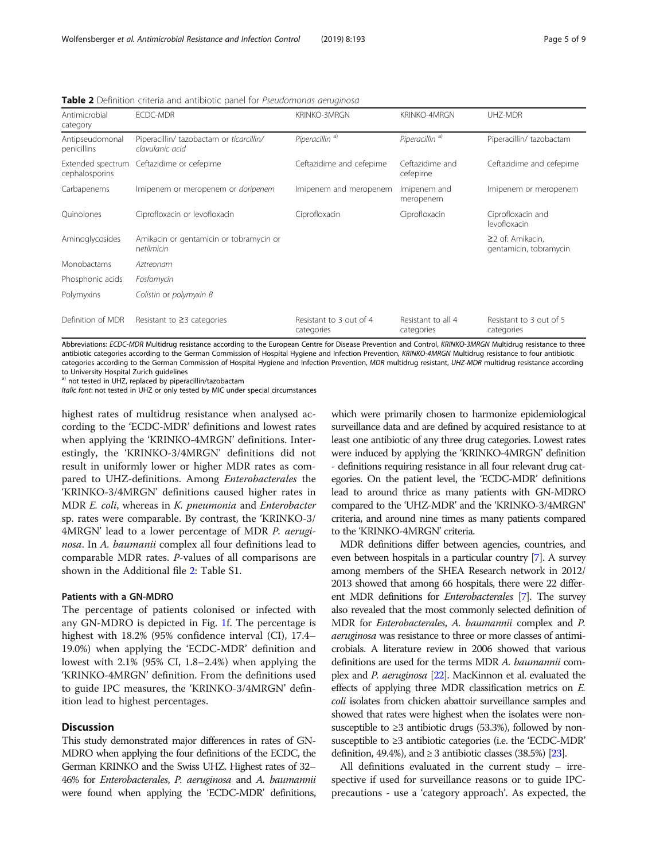| Antimicrobial<br>category           | <b>ECDC-MDR</b>                                             | <b>KRINKO-3MRGN</b>                   | <b>KRINKO-4MRGN</b>              | UHZ-MDR                                          |
|-------------------------------------|-------------------------------------------------------------|---------------------------------------|----------------------------------|--------------------------------------------------|
| Antipseudomonal<br>penicillins      | Piperacillin/ tazobactam or ticarcillin/<br>clavulanic acid | Piperacillin <sup>a)</sup>            | Piperacillin <sup>a)</sup>       | Piperacillin/tazobactam                          |
| Extended spectrum<br>cephalosporins | Ceftazidime or cefepime                                     | Ceftazidime and cefepime              | Ceftazidime and<br>cefepime      | Ceftazidime and cefepime                         |
| Carbapenems                         | Imipenem or meropenem or <i>doripenem</i>                   | Imipenem and meropenem                | Imipenem and<br>meropenem        | Imipenem or meropenem                            |
| Ouinolones                          | Ciprofloxacin or levofloxacin                               | Ciprofloxacin                         | Ciprofloxacin                    | Ciprofloxacin and<br>levofloxacin                |
| Aminoglycosides                     | Amikacin or gentamicin or tobramycin or<br>netilmicin       |                                       |                                  | $\geq$ 2 of: Amikacin,<br>gentamicin, tobramycin |
| Monobactams                         | Aztreonam                                                   |                                       |                                  |                                                  |
| Phosphonic acids                    | Fosfomycin                                                  |                                       |                                  |                                                  |
| Polymyxins                          | Colistin or polymyxin B                                     |                                       |                                  |                                                  |
| Definition of MDR                   | Resistant to $\geq$ 3 categories                            | Resistant to 3 out of 4<br>categories | Resistant to all 4<br>categories | Resistant to 3 out of 5<br>categories            |

<span id="page-4-0"></span>Table 2 Definition criteria and antibiotic panel for Pseudomonas aeruginosa

Abbreviations: ECDC-MDR Multidrug resistance according to the European Centre for Disease Prevention and Control, KRINKO-3MRGN Multidrug resistance to three antibiotic categories according to the German Commission of Hospital Hygiene and Infection Prevention, KRINKO-4MRGN Multidrug resistance to four antibiotic categories according to the German Commission of Hospital Hygiene and Infection Prevention, MDR multidrug resistant, UHZ-MDR multidrug resistance according to University Hospital Zurich guidelines

a) not tested in UHZ, replaced by piperacillin/tazobactam

Italic font: not tested in UHZ or only tested by MIC under special circumstances

highest rates of multidrug resistance when analysed according to the 'ECDC-MDR' definitions and lowest rates when applying the 'KRINKO-4MRGN' definitions. Interestingly, the 'KRINKO-3/4MRGN' definitions did not result in uniformly lower or higher MDR rates as compared to UHZ-definitions. Among Enterobacterales the 'KRINKO-3/4MRGN' definitions caused higher rates in MDR E. coli, whereas in K. pneumonia and Enterobacter sp. rates were comparable. By contrast, the 'KRINKO-3/ 4MRGN' lead to a lower percentage of MDR P. aeruginosa. In A. baumanii complex all four definitions lead to comparable MDR rates. P-values of all comparisons are shown in the Additional file [2](#page-7-0): Table S1.

#### Patients with a GN-MDRO

The percentage of patients colonised or infected with any GN-MDRO is depicted in Fig. [1](#page-6-0)f. The percentage is highest with 18.2% (95% confidence interval (CI), 17.4– 19.0%) when applying the 'ECDC-MDR' definition and lowest with 2.1% (95% CI, 1.8–2.4%) when applying the 'KRINKO-4MRGN' definition. From the definitions used to guide IPC measures, the 'KRINKO-3/4MRGN' definition lead to highest percentages.

### **Discussion**

This study demonstrated major differences in rates of GN-MDRO when applying the four definitions of the ECDC, the German KRINKO and the Swiss UHZ. Highest rates of 32– 46% for Enterobacterales, P. aeruginosa and A. baumannii were found when applying the 'ECDC-MDR' definitions, which were primarily chosen to harmonize epidemiological surveillance data and are defined by acquired resistance to at least one antibiotic of any three drug categories. Lowest rates were induced by applying the 'KRINKO-4MRGN' definition - definitions requiring resistance in all four relevant drug categories. On the patient level, the 'ECDC-MDR' definitions lead to around thrice as many patients with GN-MDRO compared to the 'UHZ-MDR' and the 'KRINKO-3/4MRGN' criteria, and around nine times as many patients compared to the 'KRINKO-4MRGN' criteria.

MDR definitions differ between agencies, countries, and even between hospitals in a particular country [\[7\]](#page-8-0). A survey among members of the SHEA Research network in 2012/ 2013 showed that among 66 hospitals, there were 22 different MDR definitions for Enterobacterales [\[7\]](#page-8-0). The survey also revealed that the most commonly selected definition of MDR for Enterobacterales, A. baumannii complex and P. aeruginosa was resistance to three or more classes of antimicrobials. A literature review in 2006 showed that various definitions are used for the terms MDR A. baumannii complex and P. aeruginosa [\[22](#page-8-0)]. MacKinnon et al. evaluated the effects of applying three MDR classification metrics on E. coli isolates from chicken abattoir surveillance samples and showed that rates were highest when the isolates were nonsusceptible to  $\geq$ 3 antibiotic drugs (53.3%), followed by nonsusceptible to ≥3 antibiotic categories (i.e. the 'ECDC-MDR' definition, 49.4%), and  $\geq$  3 antibiotic classes (38.5%) [\[23](#page-8-0)].

All definitions evaluated in the current study – irrespective if used for surveillance reasons or to guide IPCprecautions - use a 'category approach'. As expected, the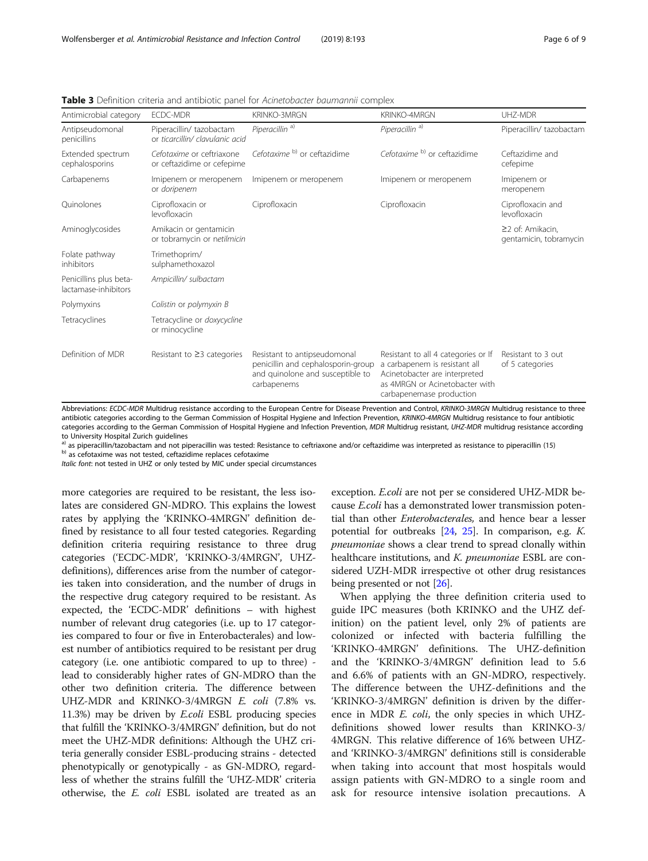| Antimicrobial category                         | <b>ECDC-MDR</b>                                             | <b>KRINKO-3MRGN</b>                                                                                                   | KRINKO-4MRGN                                                                                                                                                        | UH7-MDR                                    |
|------------------------------------------------|-------------------------------------------------------------|-----------------------------------------------------------------------------------------------------------------------|---------------------------------------------------------------------------------------------------------------------------------------------------------------------|--------------------------------------------|
| Antipseudomonal<br>penicillins                 | Piperacillin/ tazobactam<br>or ticarcillin/ clavulanic acid | Piperacillin <sup>a)</sup>                                                                                            | Piperacillin <sup>a)</sup>                                                                                                                                          | Piperacillin/ tazobactam                   |
| Extended spectrum<br>cephalosporins            | Cefotaxime or ceftriaxone<br>or ceftazidime or cefepime     | Cefotaxime <sup>b)</sup> or ceftazidime                                                                               | Cefotaxime <sup>b)</sup> or ceftazidime                                                                                                                             | Ceftazidime and<br>cefepime                |
| Carbapenems                                    | Imipenem or meropenem<br>or doripenem                       | Imipenem or meropenem                                                                                                 | Imipenem or meropenem                                                                                                                                               | Imipenem or<br>meropenem                   |
| Ouinolones                                     | Ciprofloxacin or<br>levofloxacin                            | Ciprofloxacin                                                                                                         | Ciprofloxacin                                                                                                                                                       | Ciprofloxacin and<br>levofloxacin          |
| Aminoglycosides                                | Amikacin or gentamicin<br>or tobramycin or netilmicin       |                                                                                                                       |                                                                                                                                                                     | ≥2 of: Amikacin.<br>gentamicin, tobramycin |
| Folate pathway<br>inhibitors                   | Trimethoprim/<br>sulphamethoxazol                           |                                                                                                                       |                                                                                                                                                                     |                                            |
| Penicillins plus beta-<br>lactamase-inhibitors | Ampicillin/ sulbactam                                       |                                                                                                                       |                                                                                                                                                                     |                                            |
| Polymyxins                                     | Colistin or polymyxin B                                     |                                                                                                                       |                                                                                                                                                                     |                                            |
| Tetracyclines                                  | Tetracycline or doxycycline<br>or minocycline               |                                                                                                                       |                                                                                                                                                                     |                                            |
| Definition of MDR                              | Resistant to $\geq$ 3 categories                            | Resistant to antipseudomonal<br>penicillin and cephalosporin-group<br>and quinolone and susceptible to<br>carbapenems | Resistant to all 4 categories or If<br>a carbapenem is resistant all<br>Acinetobacter are interpreted<br>as 4MRGN or Acinetobacter with<br>carbapenemase production | Resistant to 3 out<br>of 5 categories      |

<span id="page-5-0"></span>Table 3 Definition criteria and antibiotic panel for Acinetobacter baumannii complex

Abbreviations: ECDC-MDR Multidrug resistance according to the European Centre for Disease Prevention and Control, KRINKO-3MRGN Multidrug resistance to three antibiotic categories according to the German Commission of Hospital Hygiene and Infection Prevention, KRINKO-4MRGN Multidrug resistance to four antibiotic categories according to the German Commission of Hospital Hygiene and Infection Prevention, MDR Multidrug resistant, UHZ-MDR multidrug resistance according to University Hospital Zurich guidelines

a) as piperacillin/tazobactam and not piperacillin was tested: Resistance to ceftriaxone and/or ceftazidime was interpreted as resistance to piperacillin (15) b) as cefotaxime was not tested, ceftazidime replaces cefotaxi

Italic font: not tested in UHZ or only tested by MIC under special circumstances

more categories are required to be resistant, the less isolates are considered GN-MDRO. This explains the lowest rates by applying the 'KRINKO-4MRGN' definition defined by resistance to all four tested categories. Regarding definition criteria requiring resistance to three drug categories ('ECDC-MDR', 'KRINKO-3/4MRGN', UHZdefinitions), differences arise from the number of categories taken into consideration, and the number of drugs in the respective drug category required to be resistant. As expected, the 'ECDC-MDR' definitions – with highest number of relevant drug categories (i.e. up to 17 categories compared to four or five in Enterobacterales) and lowest number of antibiotics required to be resistant per drug category (i.e. one antibiotic compared to up to three) lead to considerably higher rates of GN-MDRO than the other two definition criteria. The difference between UHZ-MDR and KRINKO-3/4MRGN E. coli (7.8% vs. 11.3%) may be driven by E.coli ESBL producing species that fulfill the 'KRINKO-3/4MRGN' definition, but do not meet the UHZ-MDR definitions: Although the UHZ criteria generally consider ESBL-producing strains - detected phenotypically or genotypically - as GN-MDRO, regardless of whether the strains fulfill the 'UHZ-MDR' criteria otherwise, the E. coli ESBL isolated are treated as an

exception. E.coli are not per se considered UHZ-MDR because E.coli has a demonstrated lower transmission potential than other *Enterobacterales*, and hence bear a lesser potential for outbreaks  $[24, 25]$  $[24, 25]$  $[24, 25]$ . In comparison, e.g. K. pneumoniae shows a clear trend to spread clonally within healthcare institutions, and K. pneumoniae ESBL are considered UZH-MDR irrespective ot other drug resistances being presented or not [\[26\]](#page-8-0).

When applying the three definition criteria used to guide IPC measures (both KRINKO and the UHZ definition) on the patient level, only 2% of patients are colonized or infected with bacteria fulfilling the 'KRINKO-4MRGN' definitions. The UHZ-definition and the 'KRINKO-3/4MRGN' definition lead to 5.6 and 6.6% of patients with an GN-MDRO, respectively. The difference between the UHZ-definitions and the 'KRINKO-3/4MRGN' definition is driven by the difference in MDR *E. coli*, the only species in which UHZdefinitions showed lower results than KRINKO-3/ 4MRGN. This relative difference of 16% between UHZand 'KRINKO-3/4MRGN' definitions still is considerable when taking into account that most hospitals would assign patients with GN-MDRO to a single room and ask for resource intensive isolation precautions. A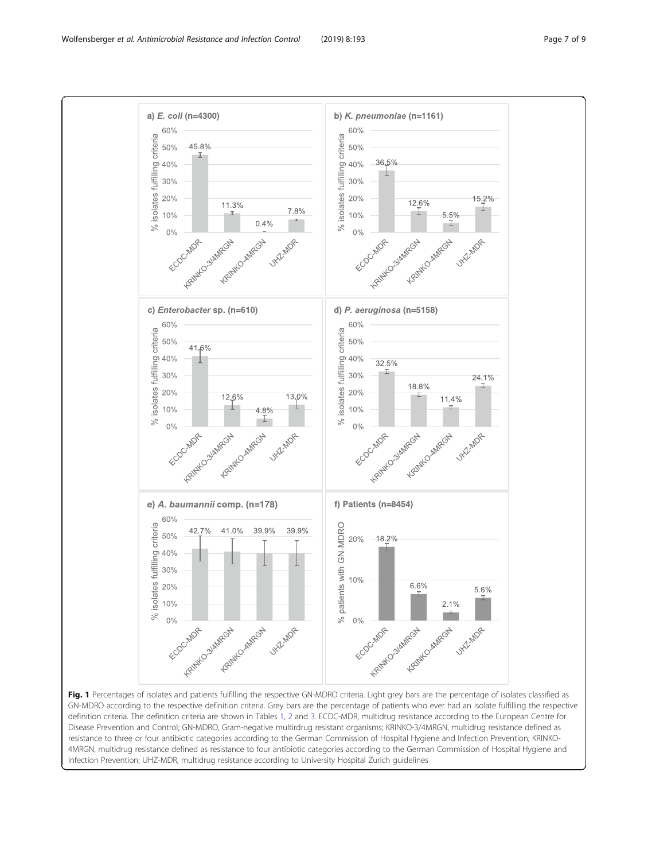

<span id="page-6-0"></span>

Fig. 1 Percentages of isolates and patients fulfilling the respective GN-MDRO criteria. Light grey bars are the percentage of isolates classified as GN-MDRO according to the respective definition criteria. Grey bars are the percentage of patients who ever had an isolate fulfilling the respective definition criteria. The definition criteria are shown in Tables [1](#page-3-0), [2](#page-4-0) and [3.](#page-5-0) ECDC-MDR, multidrug resistance according to the European Centre for Disease Prevention and Control; GN-MDRO, Gram-negative multirdrug resistant organisms; KRINKO-3/4MRGN, multidrug resistance defined as resistance to three or four antibiotic categories according to the German Commission of Hospital Hygiene and Infection Prevention; KRINKO-4MRGN, multidrug resistance defined as resistance to four antibiotic categories according to the German Commission of Hospital Hygiene and Infection Prevention; UHZ-MDR, multidrug resistance according to University Hospital Zurich guidelines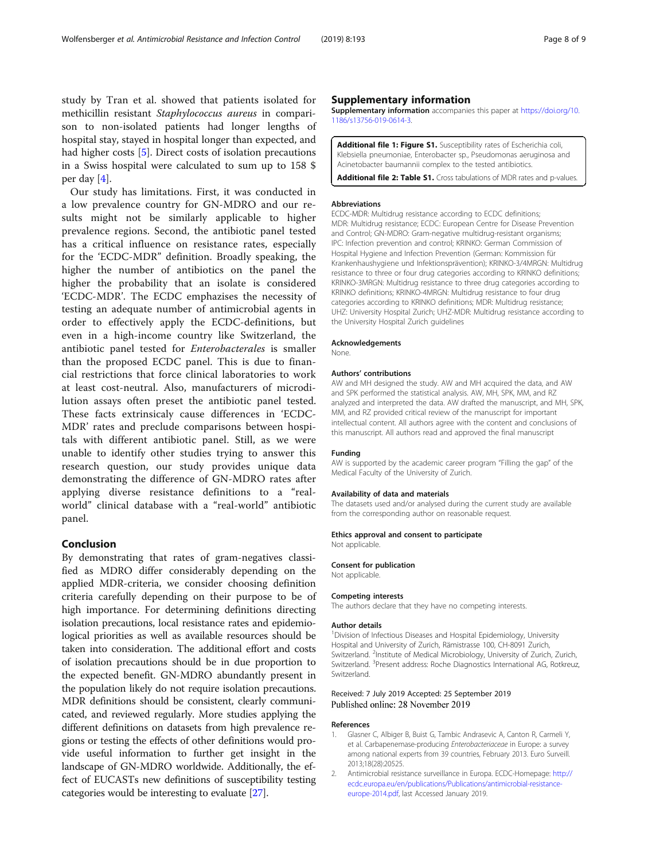<span id="page-7-0"></span>study by Tran et al. showed that patients isolated for methicillin resistant Staphylococcus aureus in comparison to non-isolated patients had longer lengths of hospital stay, stayed in hospital longer than expected, and had higher costs [[5\]](#page-8-0). Direct costs of isolation precautions in a Swiss hospital were calculated to sum up to 158 \$ per day [\[4](#page-8-0)].

Our study has limitations. First, it was conducted in a low prevalence country for GN-MDRO and our results might not be similarly applicable to higher prevalence regions. Second, the antibiotic panel tested has a critical influence on resistance rates, especially for the 'ECDC-MDR" definition. Broadly speaking, the higher the number of antibiotics on the panel the higher the probability that an isolate is considered 'ECDC-MDR'. The ECDC emphazises the necessity of testing an adequate number of antimicrobial agents in order to effectively apply the ECDC-definitions, but even in a high-income country like Switzerland, the antibiotic panel tested for Enterobacterales is smaller than the proposed ECDC panel. This is due to financial restrictions that force clinical laboratories to work at least cost-neutral. Also, manufacturers of microdilution assays often preset the antibiotic panel tested. These facts extrinsicaly cause differences in 'ECDC-MDR' rates and preclude comparisons between hospitals with different antibiotic panel. Still, as we were unable to identify other studies trying to answer this research question, our study provides unique data demonstrating the difference of GN-MDRO rates after applying diverse resistance definitions to a "realworld" clinical database with a "real-world" antibiotic panel.

### Conclusion

By demonstrating that rates of gram-negatives classified as MDRO differ considerably depending on the applied MDR-criteria, we consider choosing definition criteria carefully depending on their purpose to be of high importance. For determining definitions directing isolation precautions, local resistance rates and epidemiological priorities as well as available resources should be taken into consideration. The additional effort and costs of isolation precautions should be in due proportion to the expected benefit. GN-MDRO abundantly present in the population likely do not require isolation precautions. MDR definitions should be consistent, clearly communicated, and reviewed regularly. More studies applying the different definitions on datasets from high prevalence regions or testing the effects of other definitions would provide useful information to further get insight in the landscape of GN-MDRO worldwide. Additionally, the effect of EUCASTs new definitions of susceptibility testing categories would be interesting to evaluate [\[27\]](#page-8-0).

# Supplementary information

Supplementary information accompanies this paper at [https://doi.org/10.](https://doi.org/10.1186/s13756-019-0614-3) [1186/s13756-019-0614-3.](https://doi.org/10.1186/s13756-019-0614-3)

Additional file 1: Figure S1. Susceptibility rates of Escherichia coli, Klebsiella pneumoniae, Enterobacter sp., Pseudomonas aeruginosa and Acinetobacter baumannii complex to the tested antibiotics.

Additional file 2: Table S1. Cross tabulations of MDR rates and p-values.

#### Abbreviations

ECDC-MDR: Multidrug resistance according to ECDC definitions; MDR: Multidrug resistance; ECDC: European Centre for Disease Prevention and Control; GN-MDRO: Gram-negative multidrug-resistant organisms; IPC: Infection prevention and control; KRINKO: German Commission of Hospital Hygiene and Infection Prevention (German: Kommission für Krankenhaushygiene und Infektionsprävention); KRINKO-3/4MRGN: Multidrug resistance to three or four drug categories according to KRINKO definitions; KRINKO-3MRGN: Multidrug resistance to three drug categories according to KRINKO definitions; KRINKO-4MRGN: Multidrug resistance to four drug categories according to KRINKO definitions; MDR: Multidrug resistance; UHZ: University Hospital Zurich; UHZ-MDR: Multidrug resistance according to the University Hospital Zurich guidelines

# Acknowledgements

None.

#### Authors' contributions

AW and MH designed the study. AW and MH acquired the data, and AW and SPK performed the statistical analysis. AW, MH, SPK, MM, and RZ analyzed and interpreted the data. AW drafted the manuscript, and MH, SPK, MM, and RZ provided critical review of the manuscript for important intellectual content. All authors agree with the content and conclusions of this manuscript. All authors read and approved the final manuscript

#### Funding

AW is supported by the academic career program "Filling the gap" of the Medical Faculty of the University of Zurich.

#### Availability of data and materials

The datasets used and/or analysed during the current study are available from the corresponding author on reasonable request.

#### Ethics approval and consent to participate

Not applicable.

#### Consent for publication

Not applicable.

#### Competing interests

The authors declare that they have no competing interests.

#### Author details

<sup>1</sup> Division of Infectious Diseases and Hospital Epidemiology, University Hospital and University of Zurich, Rämistrasse 100, CH-8091 Zurich, Switzerland. <sup>2</sup>Institute of Medical Microbiology, University of Zurich, Zurich, Switzerland. <sup>3</sup>Present address: Roche Diagnostics International AG, Rotkreuz Switzerland.

# Received: 7 July 2019 Accepted: 25 September 2019 Published online: 28 November 2019

#### References

- 1. Glasner C, Albiger B, Buist G, Tambic Andrasevic A, Canton R, Carmeli Y, et al. Carbapenemase-producing Enterobacteriaceae in Europe: a survey among national experts from 39 countries, February 2013. Euro Surveill. 2013;18(28):20525.
- 2. Antimicrobial resistance surveillance in Europa. ECDC-Homepage: [http://](http://ecdc.europa.eu/en/publications/Publications/antimicrobial-resistance-europe-2014.pdf) [ecdc.europa.eu/en/publications/Publications/antimicrobial-resistance](http://ecdc.europa.eu/en/publications/Publications/antimicrobial-resistance-europe-2014.pdf)[europe-2014.pdf](http://ecdc.europa.eu/en/publications/Publications/antimicrobial-resistance-europe-2014.pdf), last Accessed January 2019.